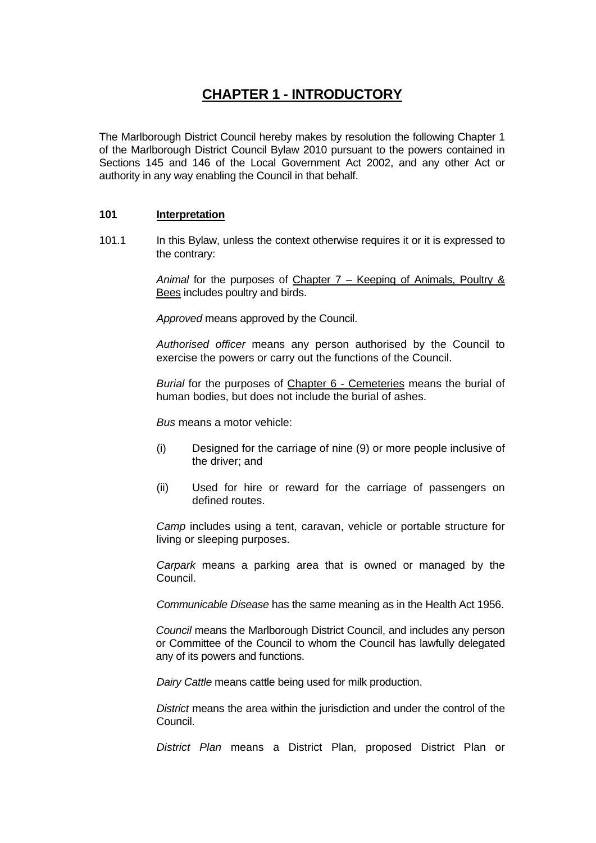# **CHAPTER 1 - INTRODUCTORY**

The Marlborough District Council hereby makes by resolution the following Chapter 1 of the Marlborough District Council Bylaw 2010 pursuant to the powers contained in Sections 145 and 146 of the Local Government Act 2002, and any other Act or authority in any way enabling the Council in that behalf.

## **101 Interpretation**

101.1 In this Bylaw, unless the context otherwise requires it or it is expressed to the contrary:

> *Animal* for the purposes of Chapter 7 – Keeping of Animals, Poultry & Bees includes poultry and birds.

 *Approved* means approved by the Council.

*Authorised officer* means any person authorised by the Council to exercise the powers or carry out the functions of the Council.

*Burial* for the purposes of Chapter 6 - Cemeteries means the burial of human bodies, but does not include the burial of ashes.

 *Bus* means a motor vehicle:

- (i) Designed for the carriage of nine (9) or more people inclusive of the driver; and
- (ii) Used for hire or reward for the carriage of passengers on defined routes.

*Camp* includes using a tent, caravan, vehicle or portable structure for living or sleeping purposes.

 *Carpark* means a parking area that is owned or managed by the Council.

 *Communicable Disease* has the same meaning as in the Health Act 1956.

*Council* means the Marlborough District Council, and includes any person or Committee of the Council to whom the Council has lawfully delegated any of its powers and functions.

*Dairy Cattle* means cattle being used for milk production.

 *District* means the area within the jurisdiction and under the control of the Council.

*District Plan* means a District Plan, proposed District Plan or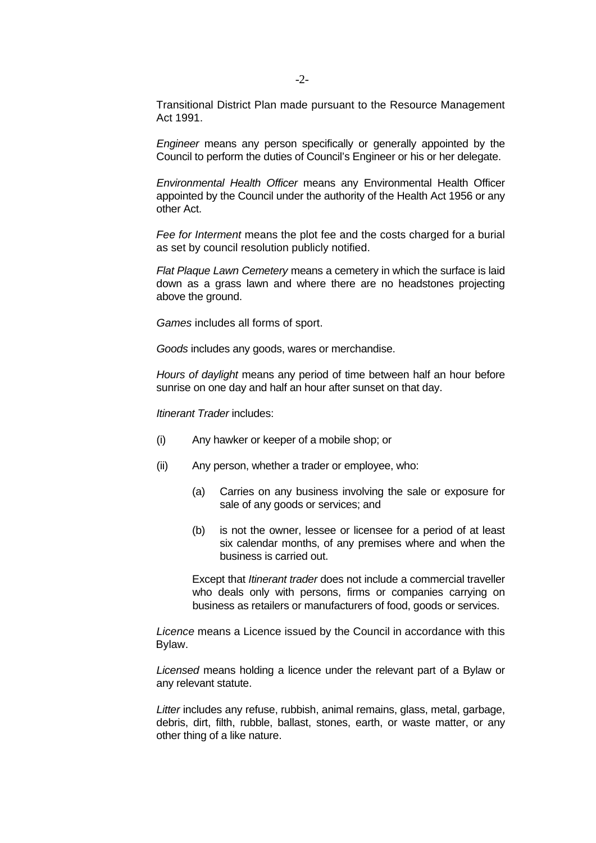Transitional District Plan made pursuant to the Resource Management Act 1991.

 *Engineer* means any person specifically or generally appointed by the Council to perform the duties of Council's Engineer or his or her delegate.

 *Environmental Health Officer* means any Environmental Health Officer appointed by the Council under the authority of the Health Act 1956 or any other Act.

*Fee for Interment* means the plot fee and the costs charged for a burial as set by council resolution publicly notified.

 *Flat Plaque Lawn Cemetery* means a cemetery in which the surface is laid down as a grass lawn and where there are no headstones projecting above the ground.

 *Games* includes all forms of sport.

 *Goods* includes any goods, wares or merchandise.

 *Hours of daylight* means any period of time between half an hour before sunrise on one day and half an hour after sunset on that day.

 *Itinerant Trader* includes:

- (i) Any hawker or keeper of a mobile shop; or
- (ii) Any person, whether a trader or employee, who:
	- (a) Carries on any business involving the sale or exposure for sale of any goods or services; and
	- (b) is not the owner, lessee or licensee for a period of at least six calendar months, of any premises where and when the business is carried out.

 Except that *Itinerant trader* does not include a commercial traveller who deals only with persons, firms or companies carrying on business as retailers or manufacturers of food, goods or services.

 *Licence* means a Licence issued by the Council in accordance with this Bylaw.

 *Licensed* means holding a licence under the relevant part of a Bylaw or any relevant statute.

 *Litter* includes any refuse, rubbish, animal remains, glass, metal, garbage, debris, dirt, filth, rubble, ballast, stones, earth, or waste matter, or any other thing of a like nature.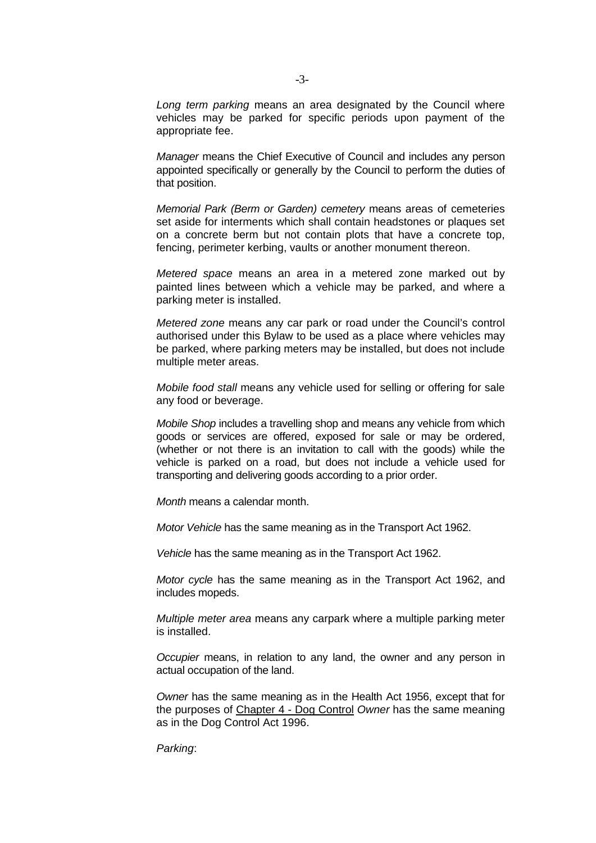*Long term parking* means an area designated by the Council where vehicles may be parked for specific periods upon payment of the appropriate fee.

 *Manager* means the Chief Executive of Council and includes any person appointed specifically or generally by the Council to perform the duties of that position.

*Memorial Park (Berm or Garden) cemetery* means areas of cemeteries set aside for interments which shall contain headstones or plaques set on a concrete berm but not contain plots that have a concrete top, fencing, perimeter kerbing, vaults or another monument thereon.

 *Metered space* means an area in a metered zone marked out by painted lines between which a vehicle may be parked, and where a parking meter is installed.

 *Metered zone* means any car park or road under the Council's control authorised under this Bylaw to be used as a place where vehicles may be parked, where parking meters may be installed, but does not include multiple meter areas.

*Mobile food stall* means any vehicle used for selling or offering for sale any food or beverage.

 *Mobile Shop* includes a travelling shop and means any vehicle from which goods or services are offered, exposed for sale or may be ordered, (whether or not there is an invitation to call with the goods) while the vehicle is parked on a road, but does not include a vehicle used for transporting and delivering goods according to a prior order.

 *Month* means a calendar month.

 *Motor Vehicle* has the same meaning as in the Transport Act 1962.

 *Vehicle* has the same meaning as in the Transport Act 1962.

*Motor cycle* has the same meaning as in the Transport Act 1962, and includes mopeds.

 *Multiple meter area* means any carpark where a multiple parking meter is installed.

 *Occupier* means, in relation to any land, the owner and any person in actual occupation of the land.

 *Owner* has the same meaning as in the Health Act 1956, except that for the purposes of Chapter 4 - Dog Control *Owner* has the same meaning as in the Dog Control Act 1996.

 *Parking*: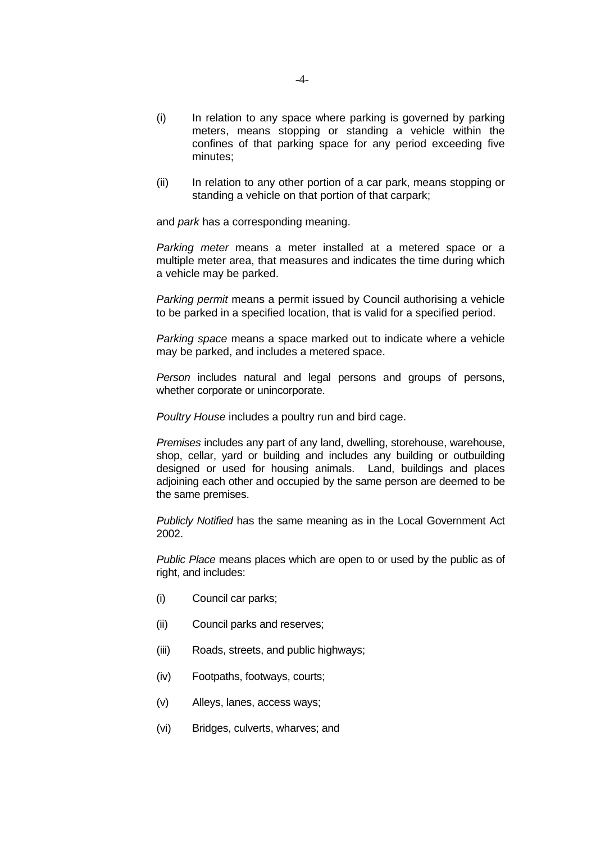- (i) In relation to any space where parking is governed by parking meters, means stopping or standing a vehicle within the confines of that parking space for any period exceeding five minutes;
- (ii) In relation to any other portion of a car park, means stopping or standing a vehicle on that portion of that carpark;

and *park* has a corresponding meaning.

 *Parking meter* means a meter installed at a metered space or a multiple meter area, that measures and indicates the time during which a vehicle may be parked.

*Parking permit* means a permit issued by Council authorising a vehicle to be parked in a specified location, that is valid for a specified period.

 *Parking space* means a space marked out to indicate where a vehicle may be parked, and includes a metered space.

 *Person* includes natural and legal persons and groups of persons, whether corporate or unincorporate.

 *Poultry House* includes a poultry run and bird cage.

 *Premises* includes any part of any land, dwelling, storehouse, warehouse, shop, cellar, yard or building and includes any building or outbuilding designed or used for housing animals. Land, buildings and places adjoining each other and occupied by the same person are deemed to be the same premises.

 *Publicly Notified* has the same meaning as in the Local Government Act 2002.

 *Public Place* means places which are open to or used by the public as of right, and includes:

- (i) Council car parks;
- (ii) Council parks and reserves;
- (iii) Roads, streets, and public highways;
- (iv) Footpaths, footways, courts;
- (v) Alleys, lanes, access ways;
- (vi) Bridges, culverts, wharves; and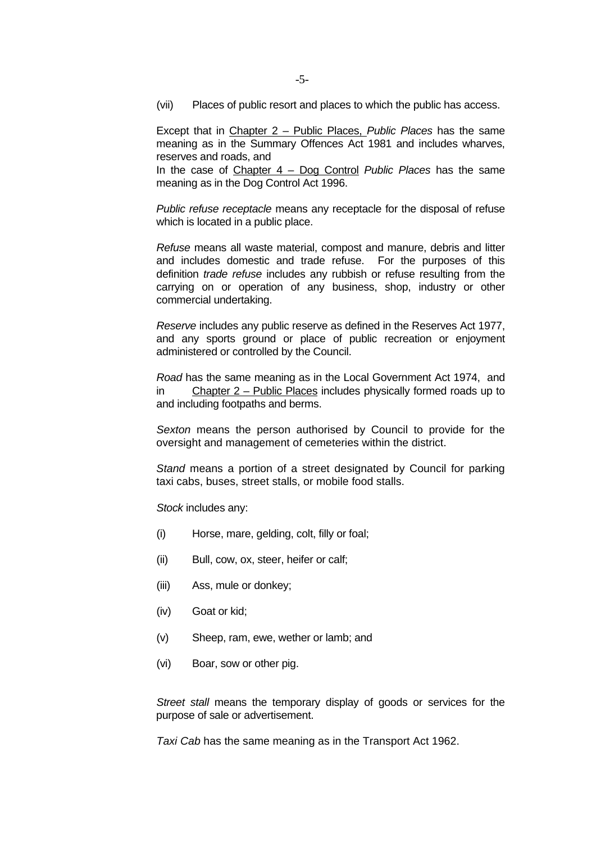(vii) Places of public resort and places to which the public has access.

Except that in Chapter 2 – Public Places, *Public Places* has the same meaning as in the Summary Offences Act 1981 and includes wharves, reserves and roads, and

In the case of Chapter 4 – Dog Control *Public Places* has the same meaning as in the Dog Control Act 1996.

*Public refuse receptacle* means any receptacle for the disposal of refuse which is located in a public place.

 *Refuse* means all waste material, compost and manure, debris and litter and includes domestic and trade refuse. For the purposes of this definition *trade refuse* includes any rubbish or refuse resulting from the carrying on or operation of any business, shop, industry or other commercial undertaking.

 *Reserve* includes any public reserve as defined in the Reserves Act 1977, and any sports ground or place of public recreation or enjoyment administered or controlled by the Council.

 *Road* has the same meaning as in the Local Government Act 1974, and in Chapter 2 – Public Places includes physically formed roads up to and including footpaths and berms.

*Sexton* means the person authorised by Council to provide for the oversight and management of cemeteries within the district.

*Stand* means a portion of a street designated by Council for parking taxi cabs, buses, street stalls, or mobile food stalls.

 *Stock* includes any:

- (i) Horse, mare, gelding, colt, filly or foal;
- (ii) Bull, cow, ox, steer, heifer or calf;
- (iii) Ass, mule or donkey;
- (iv) Goat or kid;
- (v) Sheep, ram, ewe, wether or lamb; and
- (vi) Boar, sow or other pig.

*Street stall* means the temporary display of goods or services for the purpose of sale or advertisement.

 *Taxi Cab* has the same meaning as in the Transport Act 1962.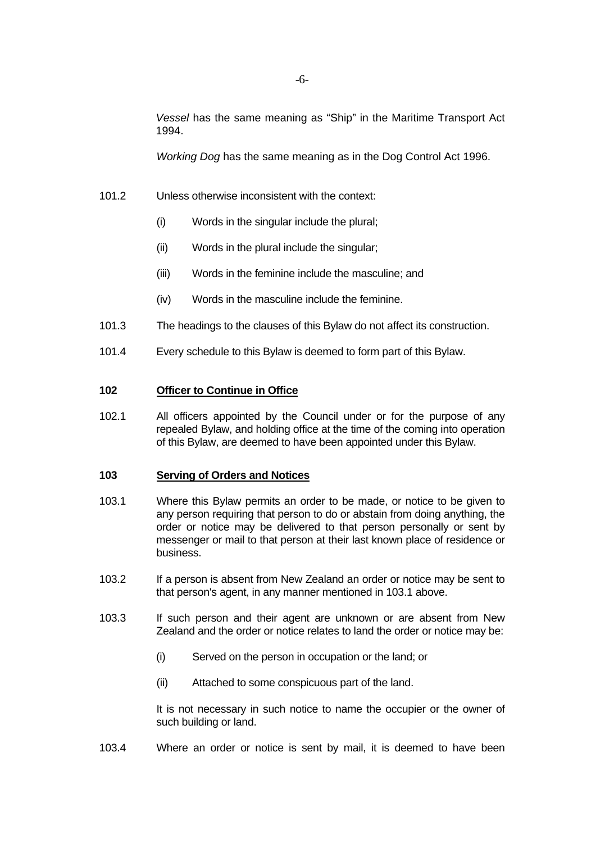*Vessel* has the same meaning as "Ship" in the Maritime Transport Act 1994.

*Working Dog* has the same meaning as in the Dog Control Act 1996.

- 101.2 Unless otherwise inconsistent with the context:
	- (i) Words in the singular include the plural;
	- (ii) Words in the plural include the singular;
	- (iii) Words in the feminine include the masculine; and
	- (iv) Words in the masculine include the feminine.
- 101.3 The headings to the clauses of this Bylaw do not affect its construction.
- 101.4 Every schedule to this Bylaw is deemed to form part of this Bylaw.

# **102 Officer to Continue in Office**

102.1 All officers appointed by the Council under or for the purpose of any repealed Bylaw, and holding office at the time of the coming into operation of this Bylaw, are deemed to have been appointed under this Bylaw.

#### **103 Serving of Orders and Notices**

- 103.1 Where this Bylaw permits an order to be made, or notice to be given to any person requiring that person to do or abstain from doing anything, the order or notice may be delivered to that person personally or sent by messenger or mail to that person at their last known place of residence or business.
- 103.2 If a person is absent from New Zealand an order or notice may be sent to that person's agent, in any manner mentioned in 103.1 above.
- 103.3 If such person and their agent are unknown or are absent from New Zealand and the order or notice relates to land the order or notice may be:
	- (i) Served on the person in occupation or the land; or
	- (ii) Attached to some conspicuous part of the land.

 It is not necessary in such notice to name the occupier or the owner of such building or land.

103.4 Where an order or notice is sent by mail, it is deemed to have been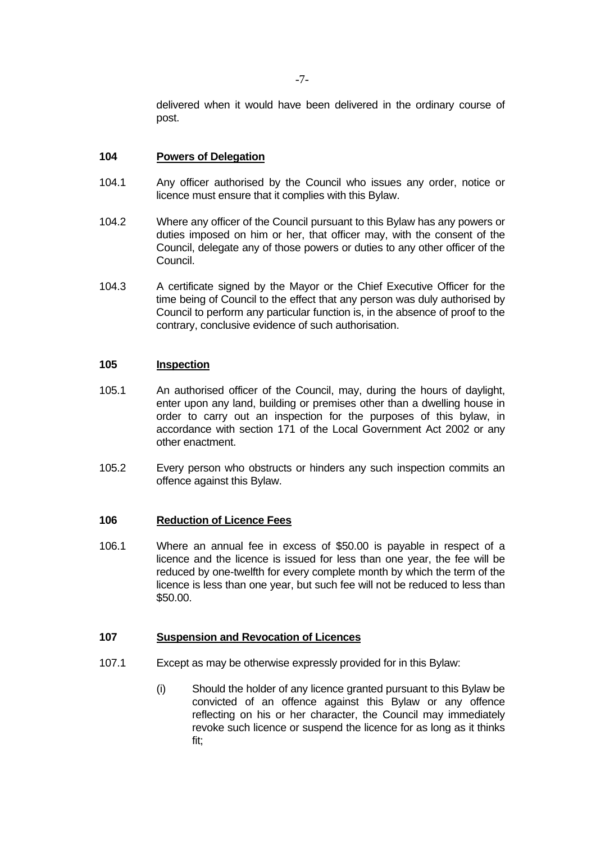delivered when it would have been delivered in the ordinary course of post.

#### **104 Powers of Delegation**

- 104.1 Any officer authorised by the Council who issues any order, notice or licence must ensure that it complies with this Bylaw.
- 104.2 Where any officer of the Council pursuant to this Bylaw has any powers or duties imposed on him or her, that officer may, with the consent of the Council, delegate any of those powers or duties to any other officer of the Council.
- 104.3 A certificate signed by the Mayor or the Chief Executive Officer for the time being of Council to the effect that any person was duly authorised by Council to perform any particular function is, in the absence of proof to the contrary, conclusive evidence of such authorisation.

## **105 Inspection**

- 105.1 An authorised officer of the Council, may, during the hours of daylight, enter upon any land, building or premises other than a dwelling house in order to carry out an inspection for the purposes of this bylaw, in accordance with section 171 of the Local Government Act 2002 or any other enactment.
- 105.2 Every person who obstructs or hinders any such inspection commits an offence against this Bylaw.

#### **106 Reduction of Licence Fees**

106.1 Where an annual fee in excess of \$50.00 is payable in respect of a licence and the licence is issued for less than one year, the fee will be reduced by one-twelfth for every complete month by which the term of the licence is less than one year, but such fee will not be reduced to less than \$50.00.

#### **107 Suspension and Revocation of Licences**

- 107.1 Except as may be otherwise expressly provided for in this Bylaw:
	- (i) Should the holder of any licence granted pursuant to this Bylaw be convicted of an offence against this Bylaw or any offence reflecting on his or her character, the Council may immediately revoke such licence or suspend the licence for as long as it thinks fit;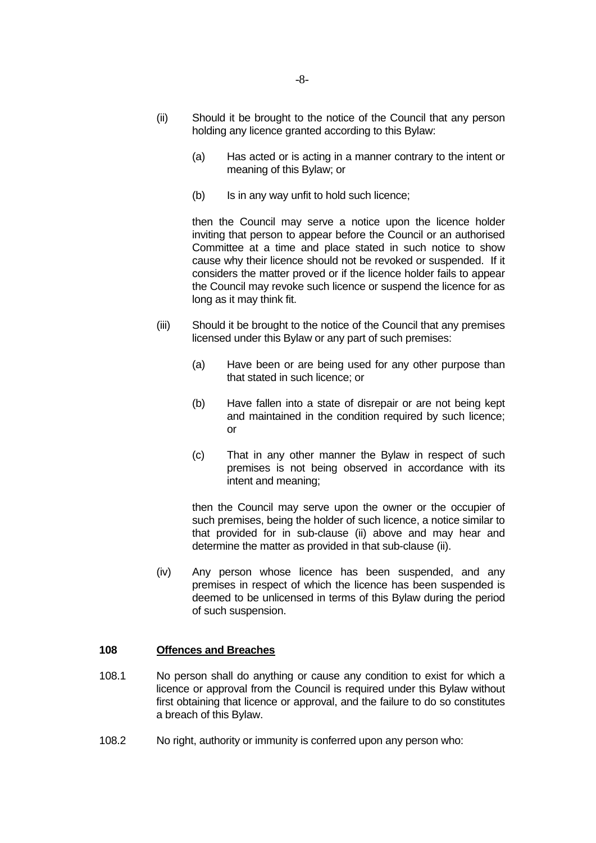- (ii) Should it be brought to the notice of the Council that any person holding any licence granted according to this Bylaw:
	- (a) Has acted or is acting in a manner contrary to the intent or meaning of this Bylaw; or
	- (b) Is in any way unfit to hold such licence;

 then the Council may serve a notice upon the licence holder inviting that person to appear before the Council or an authorised Committee at a time and place stated in such notice to show cause why their licence should not be revoked or suspended. If it considers the matter proved or if the licence holder fails to appear the Council may revoke such licence or suspend the licence for as long as it may think fit.

- (iii) Should it be brought to the notice of the Council that any premises licensed under this Bylaw or any part of such premises:
	- (a) Have been or are being used for any other purpose than that stated in such licence; or
	- (b) Have fallen into a state of disrepair or are not being kept and maintained in the condition required by such licence; or
	- (c) That in any other manner the Bylaw in respect of such premises is not being observed in accordance with its intent and meaning;

 then the Council may serve upon the owner or the occupier of such premises, being the holder of such licence, a notice similar to that provided for in sub-clause (ii) above and may hear and determine the matter as provided in that sub-clause (ii).

 (iv) Any person whose licence has been suspended, and any premises in respect of which the licence has been suspended is deemed to be unlicensed in terms of this Bylaw during the period of such suspension.

#### **108 Offences and Breaches**

- 108.1 No person shall do anything or cause any condition to exist for which a licence or approval from the Council is required under this Bylaw without first obtaining that licence or approval, and the failure to do so constitutes a breach of this Bylaw.
- 108.2 No right, authority or immunity is conferred upon any person who: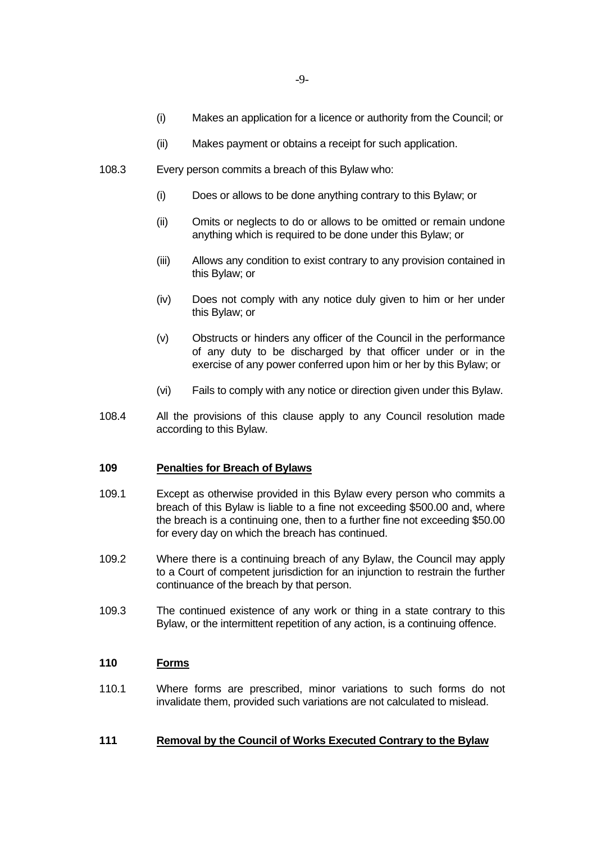- (i) Makes an application for a licence or authority from the Council; or
- (ii) Makes payment or obtains a receipt for such application.
- 108.3 Every person commits a breach of this Bylaw who:
	- (i) Does or allows to be done anything contrary to this Bylaw; or
	- (ii) Omits or neglects to do or allows to be omitted or remain undone anything which is required to be done under this Bylaw; or
	- (iii) Allows any condition to exist contrary to any provision contained in this Bylaw; or
	- (iv) Does not comply with any notice duly given to him or her under this Bylaw; or
	- (v) Obstructs or hinders any officer of the Council in the performance of any duty to be discharged by that officer under or in the exercise of any power conferred upon him or her by this Bylaw; or
	- (vi) Fails to comply with any notice or direction given under this Bylaw.
- 108.4 All the provisions of this clause apply to any Council resolution made according to this Bylaw.

#### **109 Penalties for Breach of Bylaws**

- 109.1 Except as otherwise provided in this Bylaw every person who commits a breach of this Bylaw is liable to a fine not exceeding \$500.00 and, where the breach is a continuing one, then to a further fine not exceeding \$50.00 for every day on which the breach has continued.
- 109.2 Where there is a continuing breach of any Bylaw, the Council may apply to a Court of competent jurisdiction for an injunction to restrain the further continuance of the breach by that person.
- 109.3 The continued existence of any work or thing in a state contrary to this Bylaw, or the intermittent repetition of any action, is a continuing offence.

# **110 Forms**

110.1 Where forms are prescribed, minor variations to such forms do not invalidate them, provided such variations are not calculated to mislead.

# **111 Removal by the Council of Works Executed Contrary to the Bylaw**